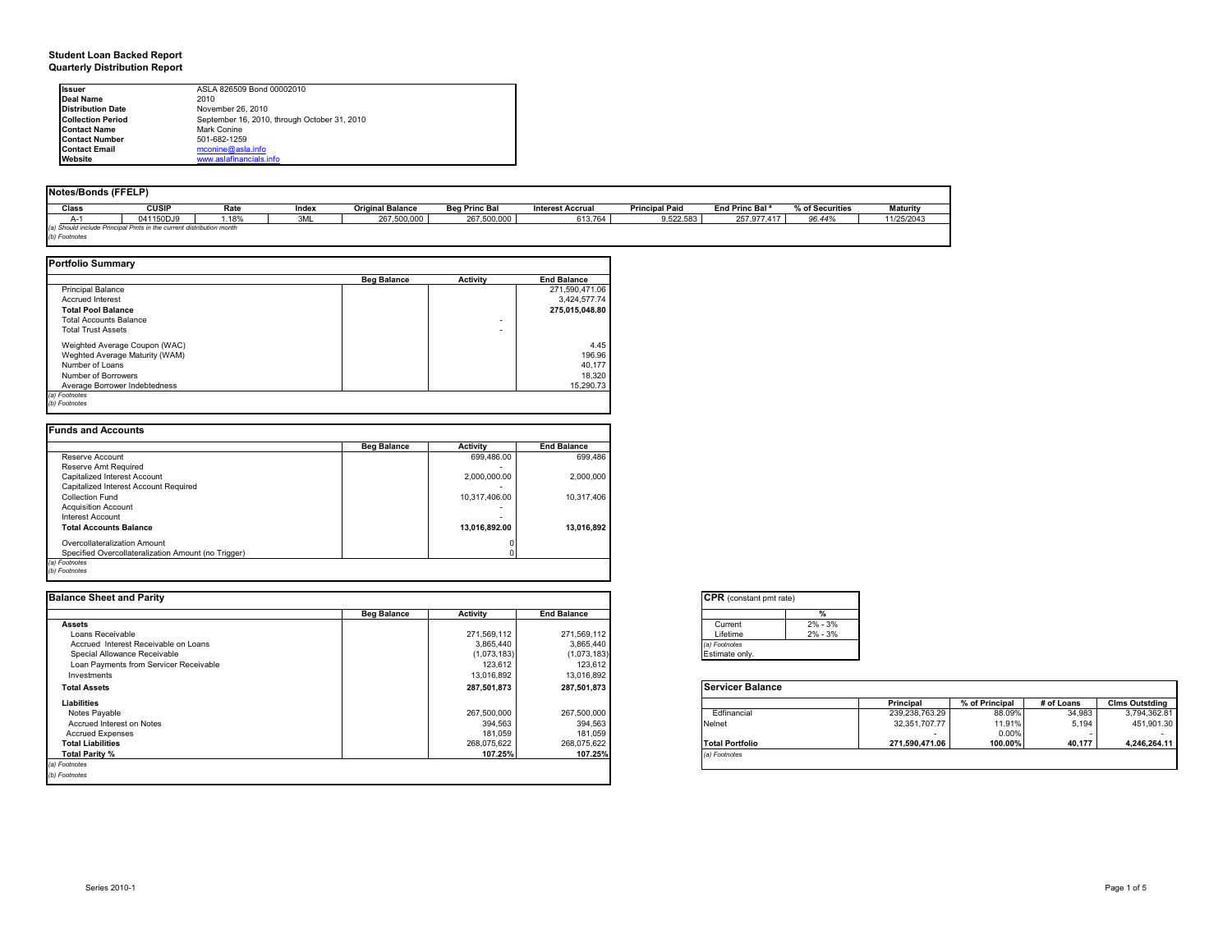#### **Student Loan Backed Report Quarterly Distribution Report**

| Issuer                   | ASLA 826509 Bond 00002010                    |
|--------------------------|----------------------------------------------|
| Deal Name                | 2010                                         |
| <b>Distribution Date</b> | November 26, 2010                            |
| <b>Collection Period</b> | September 16, 2010, through October 31, 2010 |
| <b>Contact Name</b>      | Mark Conine                                  |
| <b>Contact Number</b>    | 501-682-1259                                 |
| <b>Contact Email</b>     | mconine@asla.info                            |
| Website                  | www.aslafinancials.info                      |

| Notes/Bonds (FFELP) |                                                                     |       |       |                         |                      |                         |                       |                            |                 |                 |
|---------------------|---------------------------------------------------------------------|-------|-------|-------------------------|----------------------|-------------------------|-----------------------|----------------------------|-----------------|-----------------|
| Class               | <b>CUSIP</b>                                                        | Rate  | Index | <b>Original Balance</b> | <b>Beg Princ Bal</b> | <b>Interest Accrual</b> | <b>Principal Paid</b> | End Princ Bal <sup>a</sup> | % of Securities | <b>Maturity</b> |
| $A-$                | 041150DJ9                                                           | 1.18% | 3ML   | 267,500,000             | 267,500,000          | 613,764                 | 9,522,583             | 257.977.417                | 96.44%          | 11/25/2043      |
|                     | (a) Should include Principal Pmts in the current distribution month |       |       |                         |                      |                         |                       |                            |                 |                 |
| b) Footnotes        |                                                                     |       |       |                         |                      |                         |                       |                            |                 |                 |

|                                | <b>Beg Balance</b> | <b>Activity</b> | <b>End Balance</b> |
|--------------------------------|--------------------|-----------------|--------------------|
| <b>Principal Balance</b>       |                    |                 | 271,590,471.06     |
| <b>Accrued Interest</b>        |                    |                 | 3.424.577.74       |
| <b>Total Pool Balance</b>      |                    |                 | 275,015,048.80     |
| <b>Total Accounts Balance</b>  |                    | -               |                    |
| <b>Total Trust Assets</b>      |                    | ۰               |                    |
| Weighted Average Coupon (WAC)  |                    |                 | 4.45               |
| Weghted Average Maturity (WAM) |                    |                 | 196.96             |
| Number of Loans                |                    |                 | 40.177             |
| Number of Borrowers            |                    |                 | 18.320             |
| Average Borrower Indebtedness  |                    |                 | 15.290.73          |

| <b>Funds and Accounts</b>                           |                    |               |                    |
|-----------------------------------------------------|--------------------|---------------|--------------------|
|                                                     | <b>Beg Balance</b> | Activity      | <b>End Balance</b> |
| Reserve Account                                     |                    | 699.486.00    | 699.486            |
| Reserve Amt Required                                |                    |               |                    |
| Capitalized Interest Account                        |                    | 2.000.000.00  | 2.000.000          |
| Capitalized Interest Account Required               |                    |               |                    |
| Collection Fund                                     |                    | 10.317.406.00 | 10.317.406         |
| <b>Acquisition Account</b>                          |                    |               |                    |
| Interest Account                                    |                    |               |                    |
| <b>Total Accounts Balance</b>                       |                    | 13.016.892.00 | 13.016.892         |
| Overcollateralization Amount                        |                    |               |                    |
| Specified Overcollateralization Amount (no Trigger) |                    |               |                    |
| (a) Footnotes                                       |                    |               |                    |
| (b) Footnotes                                       |                    |               |                    |

| <b>Balance Sheet and Parity</b>        |                    |                 |                    | <b>CPR</b> (constant pmt rate) |                |                |            |                       |
|----------------------------------------|--------------------|-----------------|--------------------|--------------------------------|----------------|----------------|------------|-----------------------|
|                                        | <b>Beg Balance</b> | <b>Activity</b> | <b>End Balance</b> |                                |                |                |            |                       |
| <b>Assets</b>                          |                    |                 |                    | $2\% - 3\%$<br>Current         |                |                |            |                       |
| Loans Receivable                       |                    | 271,569,112     | 271,569,112        | $2\% - 3\%$<br>Lifetime        |                |                |            |                       |
| Accrued Interest Receivable on Loans   |                    | 3,865,440       | 3,865,440          | (a) Footnotes                  |                |                |            |                       |
| Special Allowance Receivable           |                    | (1,073,183)     | (1,073,183)        | Estimate only.                 |                |                |            |                       |
| Loan Payments from Servicer Receivable |                    | 123.612         | 123,612            |                                |                |                |            |                       |
| Investments                            |                    | 13,016,892      | 13,016,892         |                                |                |                |            |                       |
| <b>Total Assets</b>                    |                    | 287,501,873     | 287,501,873        | <b>Servicer Balance</b>        |                |                |            |                       |
| Liabilities                            |                    |                 |                    |                                | Principal      | % of Principal | # of Loans | <b>Clms Outstding</b> |
| Notes Payable                          |                    | 267,500,000     | 267,500,000        | Edfinancial                    | 239,238,763.29 | 88.09%         | 34,983     | 3,794,362.81          |
| Accrued Interest on Notes              |                    | 394,563         | 394,563            | Nelnet                         | 32.351.707.77  | 11.91%         | 5,194      | 451,901.30            |
| <b>Accrued Expenses</b>                |                    | 181,059         | 181,059            |                                |                | 0.00%          |            | $\sim$                |
| <b>Total Liabilities</b>               |                    | 268,075,622     | 268,075,622        | <b>Total Portfolio</b>         | 271,590,471.06 | 100.00%        | 40,177     | 4,246,264.11          |
| Total Parity %                         |                    | 107.25%         | 107.25%            | (a) Footnotes                  |                |                |            |                       |
| (a) Footnotes                          |                    |                 |                    |                                |                |                |            |                       |
| (b) Footnotes                          |                    |                 |                    |                                |                |                |            |                       |

|          | %           |
|----------|-------------|
| Current  | $2\% - 3\%$ |
| Lifetime | $2\% - 3\%$ |

|                        | Principal      | % of Principal | # of Loans | <b>Clms Outstding</b> |
|------------------------|----------------|----------------|------------|-----------------------|
| Edfinancial            | 239.238.763.29 | 88.09%         | 34.983     | 3,794,362.81          |
| Nelnet                 | 32.351.707.77  | 11.91%         | 5.194      | 451.901.30            |
|                        |                | 0.00%          |            |                       |
| <b>Total Portfolio</b> | 271.590.471.06 | 100.00%        | 40.177     | 4.246.264.11          |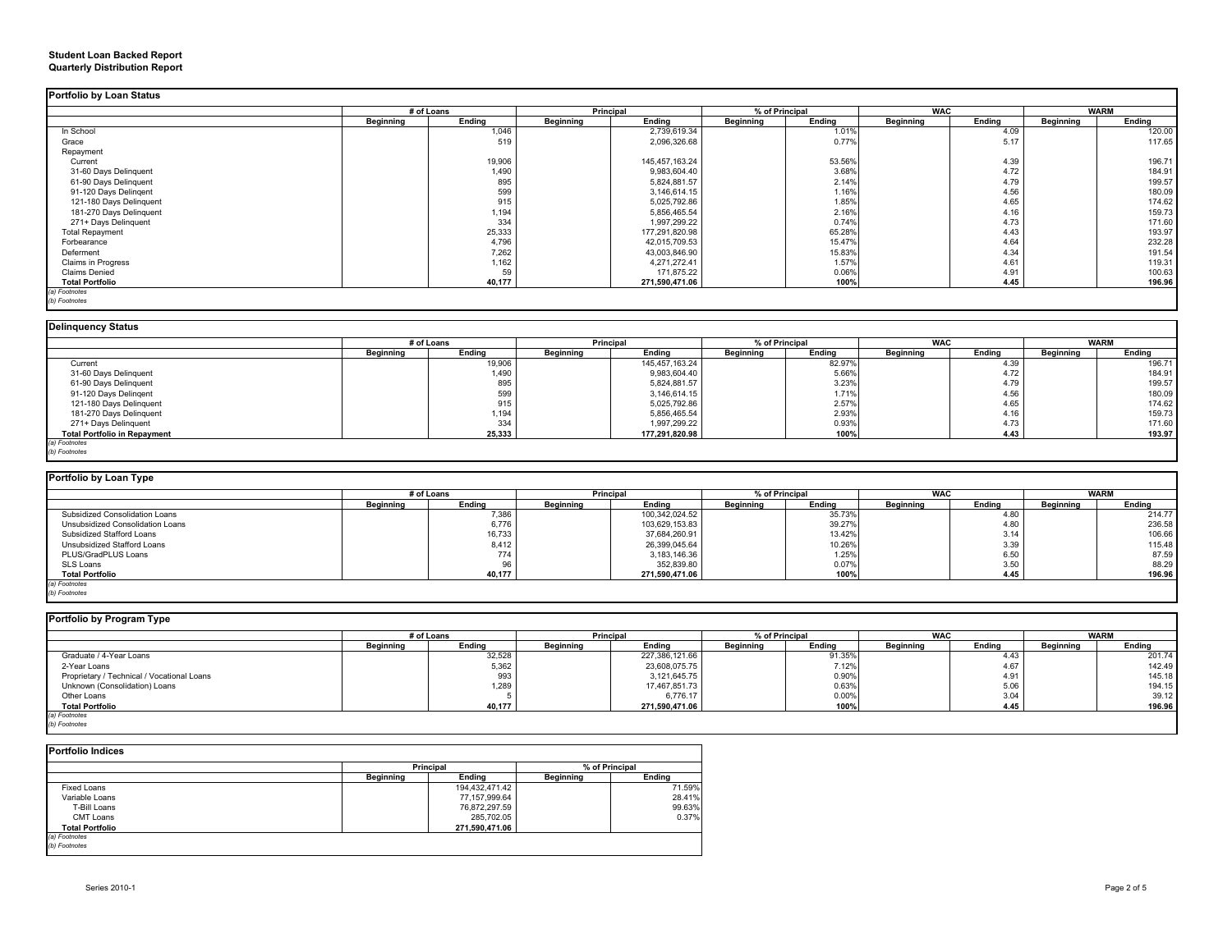#### **Student Loan Backed Report Quarterly Distribution Report**

|                         | # of Loans |        | Principal        |                | % of Principal   |        | <b>WAC</b>       |        | <b>WARM</b>      |        |
|-------------------------|------------|--------|------------------|----------------|------------------|--------|------------------|--------|------------------|--------|
|                         | Beginning  | Ending | <b>Beginning</b> | Ending         | <b>Beginning</b> | Ending | <b>Beginning</b> | Ending | <b>Beginning</b> | Ending |
| In School               |            | 1,046  |                  | 2,739,619.34   |                  | 1.01%  |                  | 4.09   |                  | 120.00 |
| Grace                   |            | 519    |                  | 2,096,326.68   |                  | 0.77%  |                  | 5.17   |                  | 117.65 |
| Repayment               |            |        |                  |                |                  |        |                  |        |                  |        |
| Current                 |            | 19,906 |                  | 145,457,163.24 |                  | 53.56% |                  | 4.39   |                  | 196.71 |
| 31-60 Days Delinquent   |            | 1,490  |                  | 9,983,604.40   |                  | 3.68%  |                  | 4.72   |                  | 184.91 |
| 61-90 Days Delinquent   |            | 895    |                  | 5,824,881.57   |                  | 2.14%  |                  | 4.79   |                  | 199.57 |
| 91-120 Days Delingent   |            | 599    |                  | 3,146,614.15   |                  | 1.16%  |                  | 4.56   |                  | 180.09 |
| 121-180 Days Delinquent |            | 915    |                  | 5,025,792.86   |                  | 1.85%  |                  | 4.65   |                  | 174.62 |
| 181-270 Days Delinquent |            | 1,194  |                  | 5,856,465.54   |                  | 2.16%  |                  | 4.16   |                  | 159.73 |
| 271+ Days Delinquent    |            | 334    |                  | 1,997,299.22   |                  | 0.74%  |                  | 4.73   |                  | 171.60 |
| <b>Total Repayment</b>  |            | 25,333 |                  | 177,291,820.98 |                  | 65.28% |                  | 4.43   |                  | 193.97 |
| Forbearance             |            | 4,796  |                  | 42,015,709.53  |                  | 15.47% |                  | 4.64   |                  | 232.28 |
| Deferment               |            | 7,262  |                  | 43,003,846.90  |                  | 15.83% |                  | 4.34   |                  | 191.54 |
| Claims in Progress      |            | 1,162  |                  | 4,271,272.41   |                  | 1.57%  |                  | 4.61   |                  | 119.31 |
| <b>Claims Denied</b>    |            | 59     |                  | 171.875.22     |                  | 0.06%  |                  | 4.91   |                  | 100.63 |
| <b>Total Portfolio</b>  |            | 40,177 |                  | 271,590,471.06 |                  | 100%   |                  | 4.45   |                  | 196.96 |

| Deligational Chapter |  |
|----------------------|--|

|                                     |           | # of Loans   |                  | <b>Principal</b> |           | % of Principal |                  | <b>WAC</b> |           | <b>WARM</b> |  |
|-------------------------------------|-----------|--------------|------------------|------------------|-----------|----------------|------------------|------------|-----------|-------------|--|
|                                     | Beginning | Ending       | <b>Beginning</b> | Ending           | Beginning | Ending         | <b>Beginning</b> | Ending     | Beginning | Ending      |  |
| Current                             |           | 19,906       |                  | 145,457,163.24   |           | 82.97%         |                  | 4.39       |           | 196.71      |  |
| 31-60 Days Delinquent               |           |              |                  | 9,983,604.40     |           | 5.66%          |                  | 4.72       |           | 184.91      |  |
| 61-90 Days Delinquent               |           | 1,490<br>895 |                  | 5,824,881.57     |           | 3.23%          |                  | 4.79       |           | 199.57      |  |
| 91-120 Days Delingent               |           | 599          |                  | 3,146,614.15     |           | 1.71%          |                  | 4.56       |           | 180.09      |  |
| 121-180 Days Delinquent             |           | 915          |                  | 5,025,792.86     |           | 2.57%          |                  | 4.65       |           | 174.62      |  |
| 181-270 Days Delinquent             |           | 1,194        |                  | 5,856,465.54     |           | 2.93%          |                  | 4.16       |           | 159.73      |  |
| 271+ Days Delinguent                |           | 334          |                  | 1,997,299.22     |           | 0.93%          |                  | 4.73       |           | 171.60      |  |
| <b>Total Portfolio in Repayment</b> |           | 25,333       |                  | 177,291,820.98   |           | 100%           |                  | 4.43       |           | 193.97      |  |

| Portfolio by Loan Type           |                  |        |                  |                |                  |        |            |        |           |             |
|----------------------------------|------------------|--------|------------------|----------------|------------------|--------|------------|--------|-----------|-------------|
|                                  | # of Loans       |        | <b>Principal</b> |                | % of Principal   |        | <b>WAC</b> |        |           | <b>WARM</b> |
|                                  | <b>Beginning</b> | Ending | <b>Beginning</b> | Ending         | <b>Beginning</b> | Ending | Beginning  | Ending | Beginning | Ending      |
| Subsidized Consolidation Loans   |                  | 7,386  |                  | 100,342,024.52 |                  | 35.73% |            | 4.80   |           | 214.77      |
| Unsubsidized Consolidation Loans |                  | 6,776  |                  | 103,629,153.83 |                  | 39.27% |            | 4.80   |           | 236.58      |
| Subsidized Stafford Loans        |                  | 16,733 |                  | 37,684,260.91  |                  | 13.42% |            | 3.14   |           | 106.66      |
| Unsubsidized Stafford Loans      |                  | 8,412  |                  | 26,399,045.64  |                  | 10.26% |            | 3.39   |           | 115.48      |
| PLUS/GradPLUS Loans              |                  | 774    |                  | 3,183,146.36   |                  | 1.25%  |            | 6.50   |           | 87.59       |
| SLS Loans                        |                  | 96     |                  | 352,839.80     |                  | 0.07%  |            | 3.50   |           | 88.29       |
| <b>Total Portfolio</b>           |                  | 40,177 |                  | 271,590,471.06 |                  | 100%   |            | 4.45   |           | 196.96      |
| (a) Footnotes                    |                  |        |                  |                |                  |        |            |        |           |             |

*(a) Footnotes (b) Footnotes*

### **Portfolio by Program Type**

| - -                                        |            |        |                  |                |                |        |            |        |             |        |
|--------------------------------------------|------------|--------|------------------|----------------|----------------|--------|------------|--------|-------------|--------|
|                                            | # of Loans |        | Principal        |                | % of Principal |        | <b>WAC</b> |        | <b>WARM</b> |        |
|                                            | Beginning  | Endina | <b>Beginning</b> | Ending         | Beginning      | Ending | Beginning  | Endina | Beainnina   | Endina |
| Graduate / 4-Year Loans                    |            | 32,528 |                  | 227,386,121.66 |                | 91.35% |            | 4.43   |             | 201.74 |
| 2-Year Loans                               |            | 5,362  |                  | 23,608,075.75  |                | 7.12%  |            | 4.67   |             | 142.49 |
| Proprietary / Technical / Vocational Loans |            | 993    |                  | 3,121,645.75   |                | 0.90%  |            | 4.91   |             | 145.18 |
| Unknown (Consolidation) Loans              |            | 1,289  |                  | 17,467,851.73  |                | 0.63%  |            | 5.06   |             | 194.15 |
| Other Loans                                |            |        |                  | 6,776.17       |                | 0.00%  |            | 3.04   |             | 39.12  |
| <b>Total Portfolio</b>                     |            | 40,177 |                  | 271,590,471.06 |                | 100%   |            | 4.45   |             | 196.96 |
| (a) Footnotes                              |            |        |                  |                |                |        |            |        |             |        |
| (b) Footnotes                              |            |        |                  |                |                |        |            |        |             |        |

÷

**Portfolio Indices**

|                  | <b>Principal</b> |                  | % of Principal |  |
|------------------|------------------|------------------|----------------|--|
| <b>Beginning</b> | Endina           | <b>Beginning</b> | Endina         |  |
|                  | 194,432,471.42   |                  | 71.59%         |  |
|                  | 77,157,999.64    |                  | 28.41%         |  |
|                  | 76,872,297.59    |                  | 99.63%         |  |
|                  | 285.702.05       |                  | 0.37%          |  |
|                  | 271.590.471.06   |                  |                |  |
|                  |                  |                  |                |  |
|                  |                  |                  |                |  |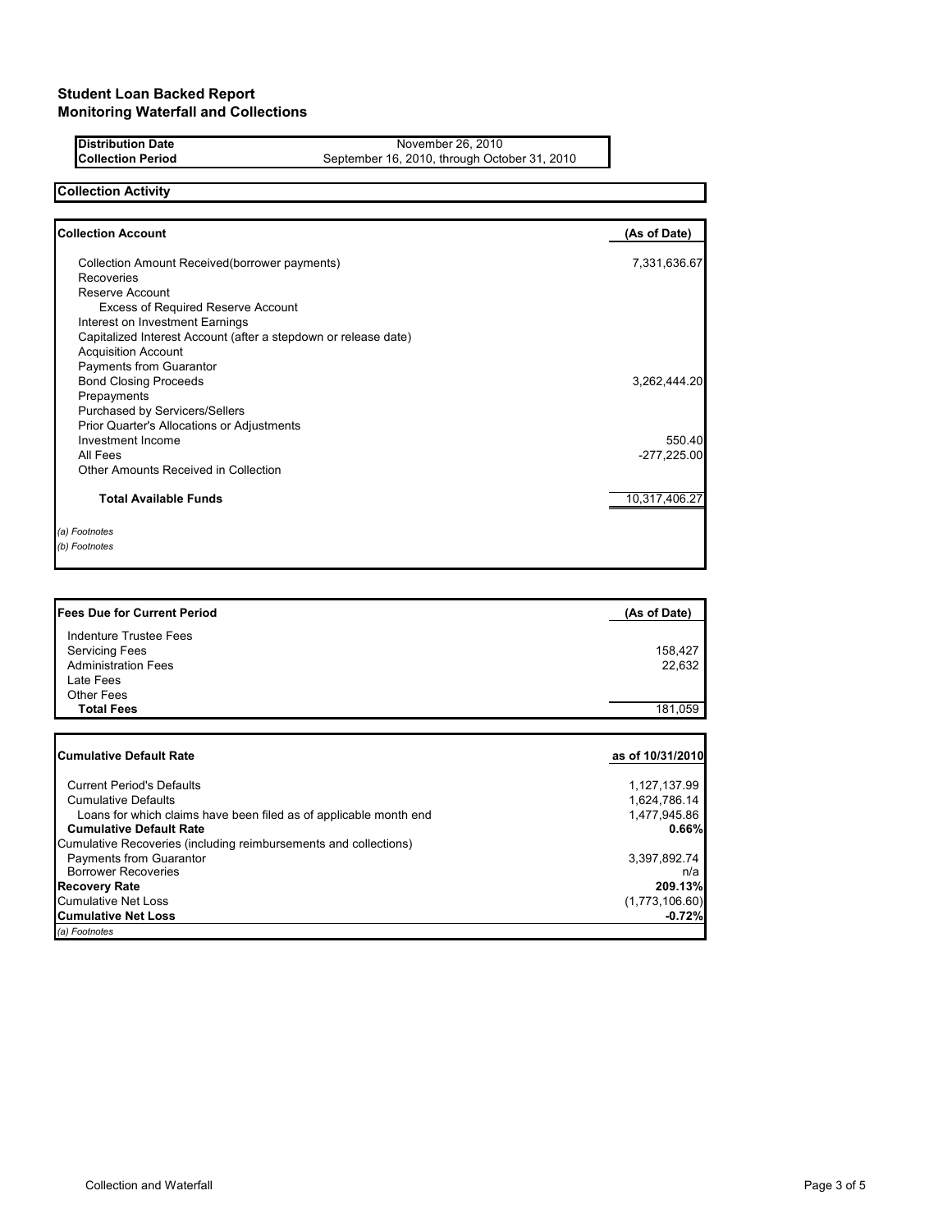**Distribution Date** November 26, 2010<br>**Collection Period** September 16, 2010, through Octo September 16, 2010, through October 31, 2010

# **Collection Activity**

| <b>Collection Account</b>                                       | (As of Date)  |
|-----------------------------------------------------------------|---------------|
| Collection Amount Received (borrower payments)                  | 7,331,636.67  |
| Recoveries                                                      |               |
| Reserve Account                                                 |               |
| <b>Excess of Required Reserve Account</b>                       |               |
| Interest on Investment Earnings                                 |               |
| Capitalized Interest Account (after a stepdown or release date) |               |
| <b>Acquisition Account</b>                                      |               |
| Payments from Guarantor                                         |               |
| <b>Bond Closing Proceeds</b>                                    | 3,262,444.20  |
| Prepayments                                                     |               |
| Purchased by Servicers/Sellers                                  |               |
| Prior Quarter's Allocations or Adjustments                      |               |
| Investment Income                                               | 550.40        |
| All Fees                                                        | $-277,225.00$ |
| Other Amounts Received in Collection                            |               |
| <b>Total Available Funds</b>                                    | 10,317,406.27 |
| (a) Footnotes                                                   |               |
| (b) Footnotes                                                   |               |

| <b>Fees Due for Current Period</b> | (As of Date) |
|------------------------------------|--------------|
| Indenture Trustee Fees             |              |
| <b>Servicing Fees</b>              | 158.427      |
| <b>Administration Fees</b>         | 22.632       |
| Late Fees                          |              |
| <b>Other Fees</b>                  |              |
| <b>Total Fees</b>                  | 181.059      |

| ICumulative Default Rate                                          | as of 10/31/2010 |
|-------------------------------------------------------------------|------------------|
| <b>Current Period's Defaults</b>                                  | 1,127,137.99     |
| <b>Cumulative Defaults</b>                                        | 1,624,786.14     |
| Loans for which claims have been filed as of applicable month end | 1,477,945.86     |
| <b>Cumulative Default Rate</b>                                    | 0.66%            |
| Cumulative Recoveries (including reimbursements and collections)  |                  |
| Payments from Guarantor                                           | 3,397,892.74     |
| <b>Borrower Recoveries</b>                                        | n/a              |
| <b>Recovery Rate</b>                                              | 209.13%          |
| Cumulative Net Loss                                               | (1,773,106.60)   |
| <b>Cumulative Net Loss</b>                                        | $-0.72%$         |
| (a) Footnotes                                                     |                  |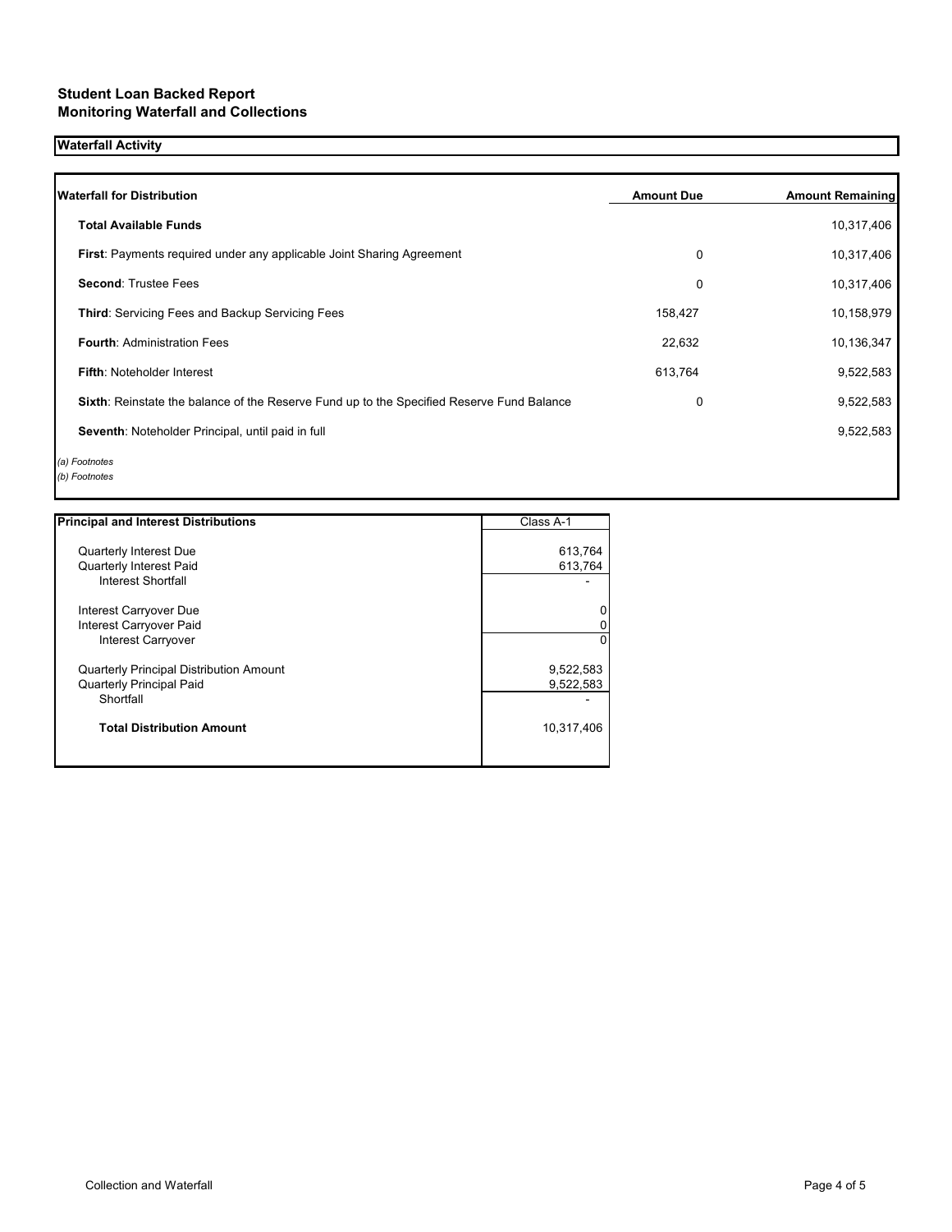## **Student Loan Backed Report Monitoring Waterfall and Collections**

## **Waterfall Activity**

| <b>Waterfall for Distribution</b>                                                         | <b>Amount Due</b> | <b>Amount Remaining</b> |
|-------------------------------------------------------------------------------------------|-------------------|-------------------------|
| <b>Total Available Funds</b>                                                              |                   | 10,317,406              |
| First: Payments required under any applicable Joint Sharing Agreement                     | 0                 | 10,317,406              |
| <b>Second: Trustee Fees</b>                                                               | 0                 | 10,317,406              |
| <b>Third:</b> Servicing Fees and Backup Servicing Fees                                    | 158,427           | 10,158,979              |
| <b>Fourth: Administration Fees</b>                                                        | 22,632            | 10,136,347              |
| Fifth: Noteholder Interest                                                                | 613,764           | 9,522,583               |
| Sixth: Reinstate the balance of the Reserve Fund up to the Specified Reserve Fund Balance | 0                 | 9,522,583               |
| Seventh: Noteholder Principal, until paid in full                                         |                   | 9,522,583               |
| (a) Footnotes                                                                             |                   |                         |

*(b) Footnotes*

| <b>Principal and Interest Distributions</b>    | Class A-1  |
|------------------------------------------------|------------|
| Quarterly Interest Due                         | 613,764    |
| Quarterly Interest Paid                        | 613,764    |
| Interest Shortfall                             |            |
| Interest Carryover Due                         |            |
| Interest Carryover Paid                        |            |
| <b>Interest Carryover</b>                      | 0          |
| <b>Quarterly Principal Distribution Amount</b> | 9,522,583  |
| <b>Quarterly Principal Paid</b>                | 9,522,583  |
| Shortfall                                      |            |
| <b>Total Distribution Amount</b>               | 10,317,406 |
|                                                |            |